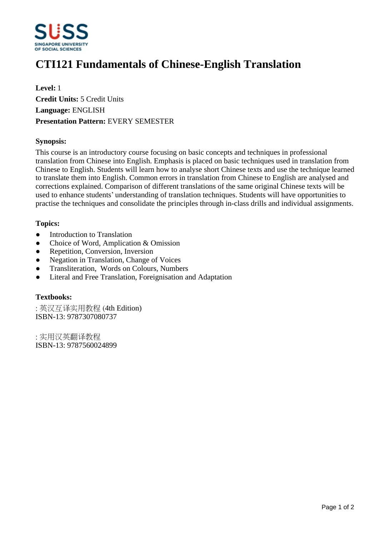

# **CTI121 Fundamentals of Chinese-English Translation**

**Level:** 1 **Credit Units:** 5 Credit Units **Language:** ENGLISH **Presentation Pattern:** EVERY SEMESTER

## **Synopsis:**

This course is an introductory course focusing on basic concepts and techniques in professional translation from Chinese into English. Emphasis is placed on basic techniques used in translation from Chinese to English. Students will learn how to analyse short Chinese texts and use the technique learned to translate them into English. Common errors in translation from Chinese to English are analysed and corrections explained. Comparison of different translations of the same original Chinese texts will be used to enhance students' understanding of translation techniques. Students will have opportunities to practise the techniques and consolidate the principles through in-class drills and individual assignments.

#### **Topics:**

- Introduction to Translation
- Choice of Word, Amplication & Omission
- Repetition, Conversion, Inversion
- Negation in Translation, Change of Voices
- ƔTransliteration, Words on Colours, Numbers
- ƔLiteral and Free Translation, Foreignisation and Adaptation

#### **Textbooks:**

: 英汉互译实用教程 (4th Edition) ISBN-13: 9787307080737

:实用汉英翻译教程 ISBN-13: 9787560024899